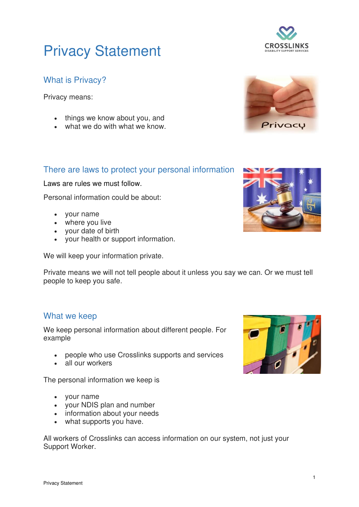### What is Privacy?

Privacy means:

- things we know about you, and
- what we do with what we know.

### There are laws to protect your personal information

Laws are rules we must follow.

Personal information could be about:

- your name
- where you live
- your date of birth
- your health or support information.

We will keep your information private.

Private means we will not tell people about it unless you say we can. Or we must tell people to keep you safe.

#### What we keep

We keep personal information about different people. For example

- people who use Crosslinks supports and services
- all our workers

The personal information we keep is

- your name
- your NDIS plan and number
- information about your needs
- what supports you have.

All workers of Crosslinks can access information on our system, not just your Support Worker.







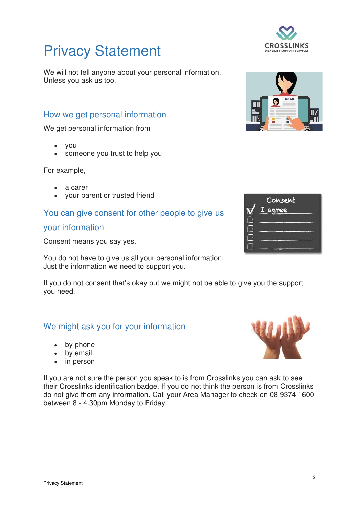We will not tell anyone about your personal information. Unless you ask us too.

#### How we get personal information

We get personal information from

- you
- someone you trust to help you
- For example,
	- a carer
	- your parent or trusted friend

## You can give consent for other people to give us

#### your information

Consent means you say yes.

You do not have to give us all your personal information. Just the information we need to support you.

If you do not consent that's okay but we might not be able to give you the support you need.

#### We might ask you for your information

- by phone
- by email
- in person

If you are not sure the person you speak to is from Crosslinks you can ask to see their Crosslinks identification badge. If you do not think the person is from Crosslinks do not give them any information. Call your Area Manager to check on 08 9374 1600 between 8 - 4.30pm Monday to Friday.





| Consent |
|---------|
| agree   |
|         |
|         |
|         |
|         |
|         |

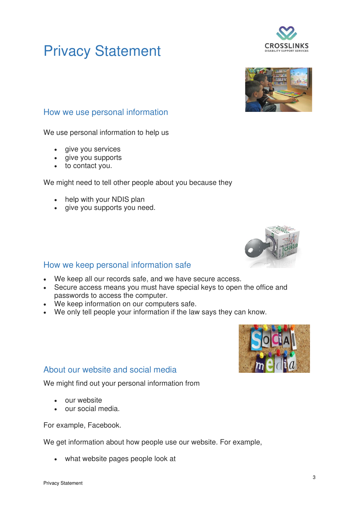



#### How we use personal information

We use personal information to help us

- give you services
- give you supports
- to contact you.

We might need to tell other people about you because they

- help with your NDIS plan
- give you supports you need.

#### How we keep personal information safe

- We keep all our records safe, and we have secure access.
- Secure access means you must have special keys to open the office and passwords to access the computer.
- We keep information on our computers safe.
- We only tell people your information if the law says they can know.

## About our website and social media

We might find out your personal information from

- our website
- our social media.

For example, Facebook.

We get information about how people use our website. For example,

what website pages people look at